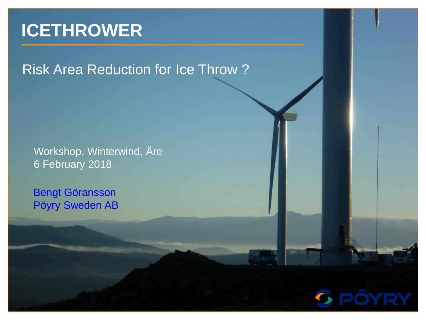# **ICETHROWER**

Risk Area Reduction for Ice Throw ?

Workshop, Winterwind, Åre 6 February 2018

Bengt Göransson Pöyry Sweden AB

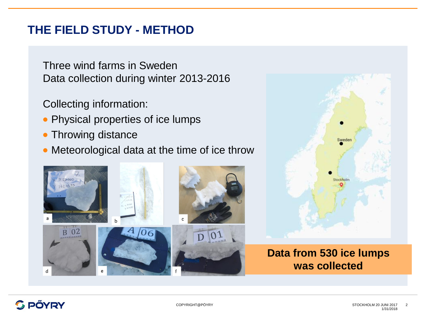## **THE FIELD STUDY - METHOD**

Three wind farms in Sweden Data collection during winter 2013-2016

Collecting information:

- Physical properties of ice lumps
- Throwing distance
- Meteorological data at the time of ice throw





#### **Data from 530 ice lumps was collected**

### **PÖYRY**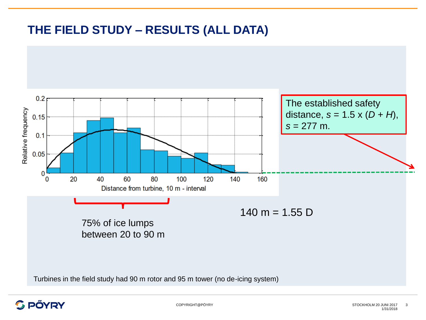## **THE FIELD STUDY – RESULTS (ALL DATA)**



Turbines in the field study had 90 m rotor and 95 m tower (no de-icing system)

#### **S PÖYRY**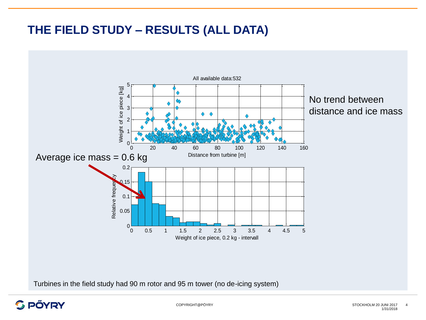## **THE FIELD STUDY – RESULTS (ALL DATA)**



Turbines in the field study had 90 m rotor and 95 m tower (no de-icing system)

#### **G PÖYRY**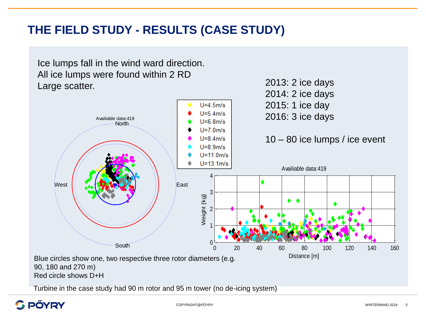## **THE FIELD STUDY - RESULTS (CASE STUDY)**



Turbine in the case study had 90 m rotor and 95 m tower (no de-icing system) tov<br><sub>нт@н</sub>

#### **PÖYRY**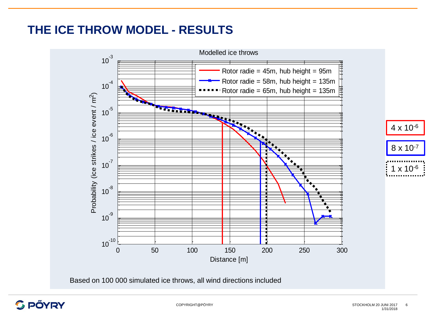## **THE ICE THROW MODEL - RESULTS**



Based on 100 000 simulated ice throws, all wind directions included

## **G PÖYRY**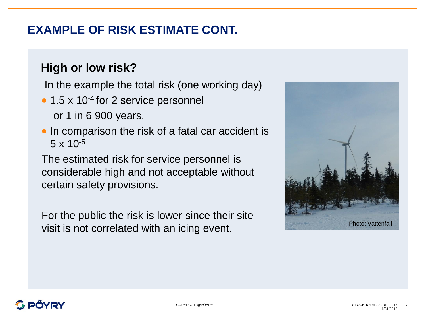## **EXAMPLE OF RISK ESTIMATE CONT.**

## **High or low risk?**

In the example the total risk (one working day)

• 1.5 x 10<sup>-4</sup> for 2 service personnel

or 1 in 6 900 years.

• In comparison the risk of a fatal car accident is  $5 \times 10^{-5}$ 

The estimated risk for service personnel is considerable high and not acceptable without certain safety provisions.

For the public the risk is lower since their site visit is not correlated with an icing event.

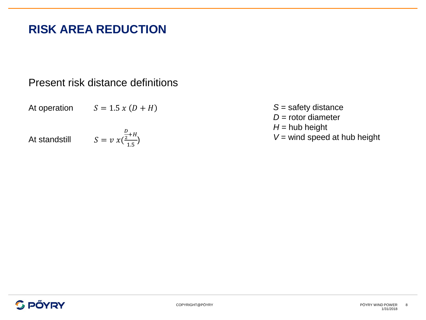## **RISK AREA REDUCTION**

#### Present risk distance definitions

At operation  $S = 1.5 x (D + H)$ 

At standstill

 $S = v x ($ D  $\frac{p}{2}+H$  $\frac{1}{1.5}$ 

*S* = safety distance *D* = rotor diameter  $H =$  hub height *V* = wind speed at hub height

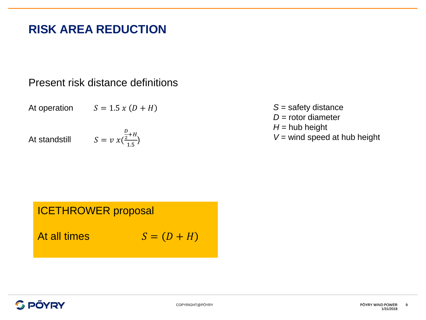## **RISK AREA REDUCTION**

#### Present risk distance definitions

At operation

 $S = 1.5 x (D + H)$ 

At standstill

$$
S = \nu \, x \left( \frac{\frac{D}{2} + H}{1.5} \right)
$$

*S* = safety distance *D* = rotor diameter  $H =$  hub height *V* = wind speed at hub height

#### ICETHROWER proposal

At all times

$$
S=(D+H)
$$

#### **C PÖYRY**